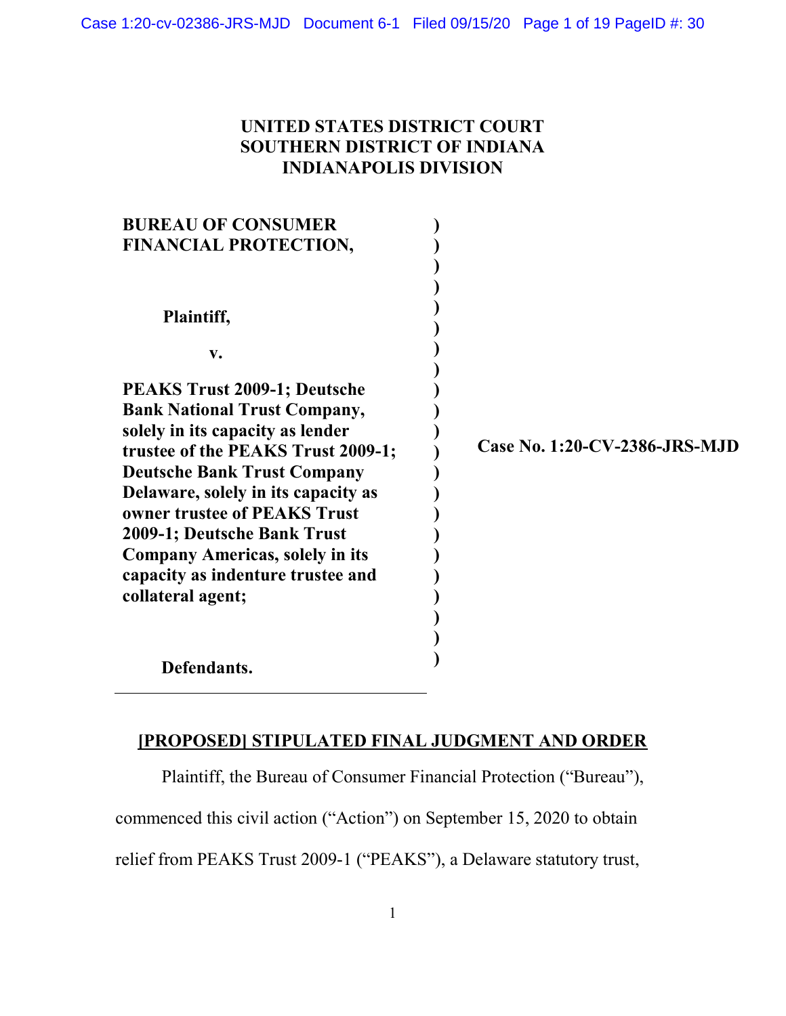# UNITED STATES DISTRICT COURT SOUTHERN DISTRICT OF INDIANA INDIANAPOLIS DIVISION

| <b>BUREAU OF CONSUMER</b>              |                               |
|----------------------------------------|-------------------------------|
| <b>FINANCIAL PROTECTION,</b>           |                               |
|                                        |                               |
|                                        |                               |
| Plaintiff,                             |                               |
| $V_{\bullet}$                          |                               |
| <b>PEAKS Trust 2009-1; Deutsche</b>    |                               |
| <b>Bank National Trust Company,</b>    |                               |
| solely in its capacity as lender       |                               |
| trustee of the PEAKS Trust 2009-1;     | Case No. 1:20-CV-2386-JRS-MJD |
| <b>Deutsche Bank Trust Company</b>     |                               |
| Delaware, solely in its capacity as    |                               |
| owner trustee of PEAKS Trust           |                               |
| 2009-1; Deutsche Bank Trust            |                               |
| <b>Company Americas, solely in its</b> |                               |
| capacity as indenture trustee and      |                               |
| collateral agent;                      |                               |
|                                        |                               |
|                                        |                               |
| Defendants.                            |                               |

## [PROPOSED] STIPULATED FINAL JUDGMENT AND ORDER

Plaintiff, the Bureau of Consumer Financial Protection ("Bureau"),

commenced this civil action ("Action") on September 15, 2020 to obtain

relief from PEAKS Trust 2009-1 ("PEAKS"), a Delaware statutory trust,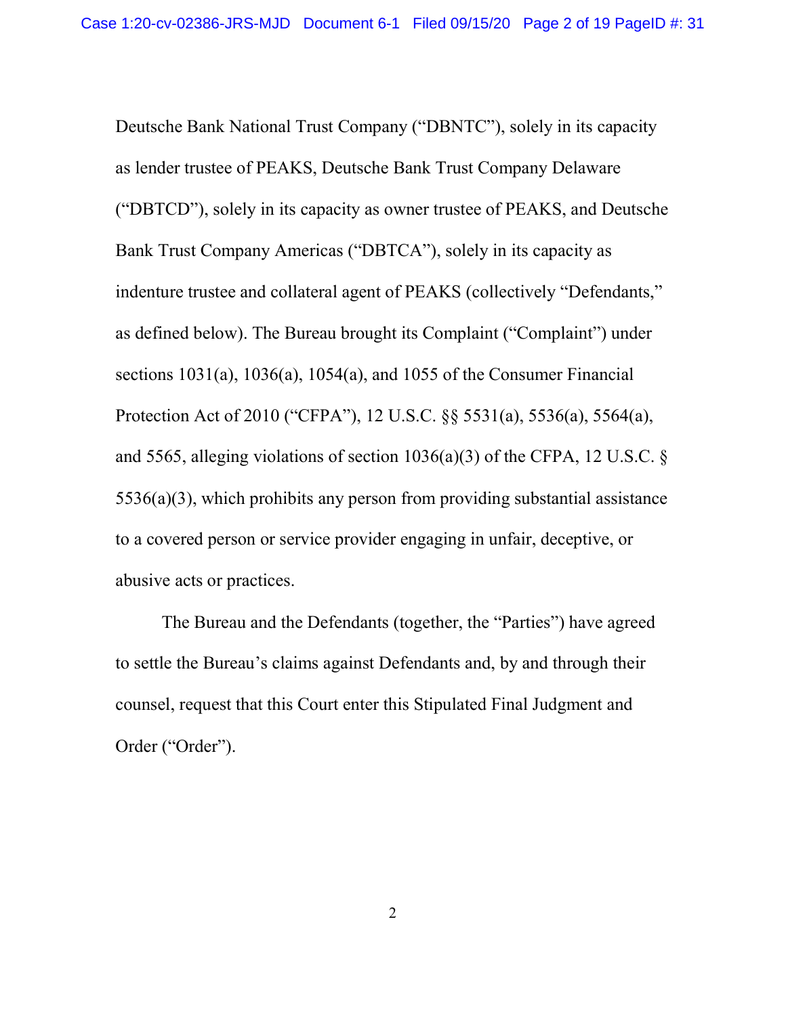Deutsche Bank National Trust Company ("DBNTC"), solely in its capacity as lender trustee of PEAKS, Deutsche Bank Trust Company Delaware ("DBTCD"), solely in its capacity as owner trustee of PEAKS, and Deutsche Bank Trust Company Americas ("DBTCA"), solely in its capacity as indenture trustee and collateral agent of PEAKS (collectively "Defendants," as defined below). The Bureau brought its Complaint ("Complaint") under sections 1031(a), 1036(a), 1054(a), and 1055 of the Consumer Financial Protection Act of 2010 ("CFPA"), 12 U.S.C. §§ 5531(a), 5536(a), 5564(a), and 5565, alleging violations of section 1036(a)(3) of the CFPA, 12 U.S.C. § 5536(a)(3), which prohibits any person from providing substantial assistance to a covered person or service provider engaging in unfair, deceptive, or abusive acts or practices.

The Bureau and the Defendants (together, the "Parties") have agreed to settle the Bureau's claims against Defendants and, by and through their counsel, request that this Court enter this Stipulated Final Judgment and Order ("Order").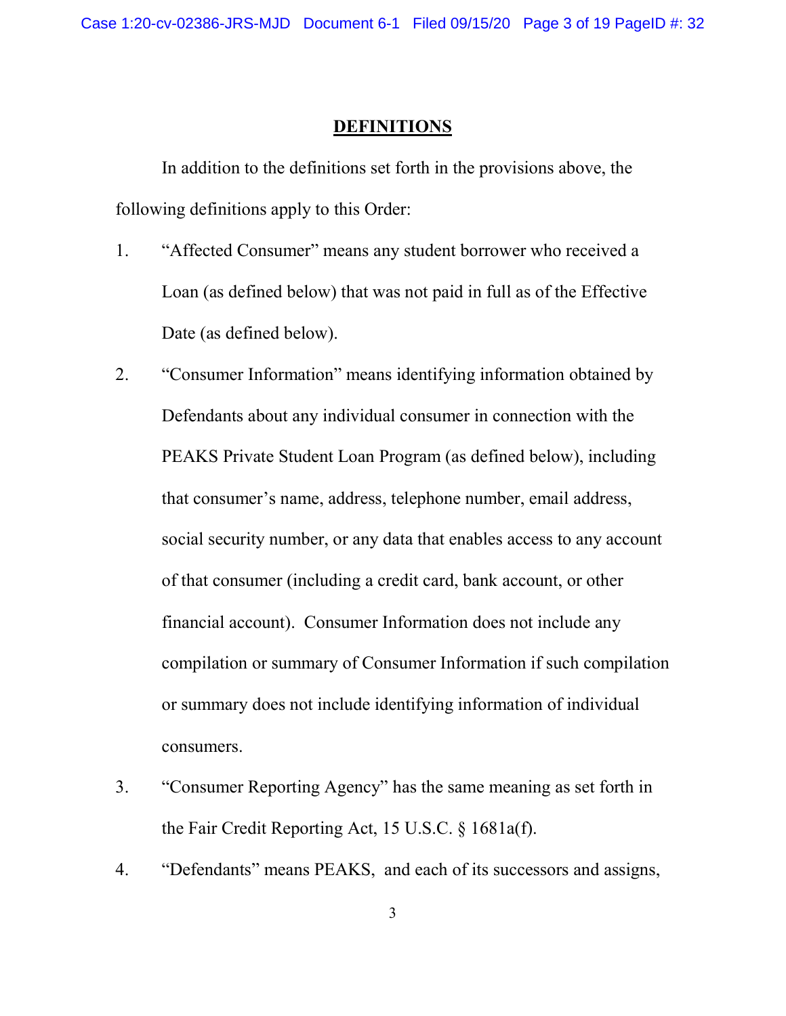## DEFINITIONS

In addition to the definitions set forth in the provisions above, the following definitions apply to this Order:

- 1. "Affected Consumer" means any student borrower who received a Loan (as defined below) that was not paid in full as of the Effective Date (as defined below).
- 2. "Consumer Information" means identifying information obtained by Defendants about any individual consumer in connection with the PEAKS Private Student Loan Program (as defined below), including that consumer's name, address, telephone number, email address, social security number, or any data that enables access to any account of that consumer (including a credit card, bank account, or other financial account). Consumer Information does not include any compilation or summary of Consumer Information if such compilation or summary does not include identifying information of individual consumers.
- 3. "Consumer Reporting Agency" has the same meaning as set forth in the Fair Credit Reporting Act, 15 U.S.C. § 1681a(f).
- 4. "Defendants" means PEAKS, and each of its successors and assigns,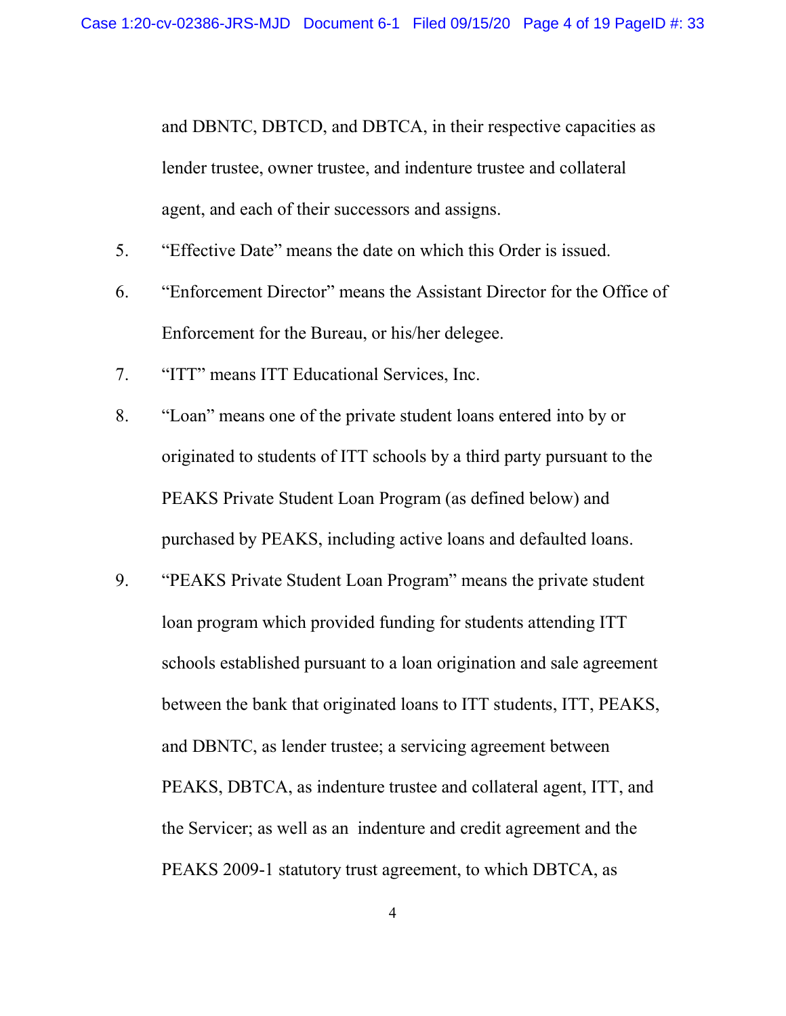and DBNTC, DBTCD, and DBTCA, in their respective capacities as lender trustee, owner trustee, and indenture trustee and collateral agent, and each of their successors and assigns.

- 5. "Effective Date" means the date on which this Order is issued.
- 6. "Enforcement Director" means the Assistant Director for the Office of Enforcement for the Bureau, or his/her delegee.
- 7. "ITT" means ITT Educational Services, Inc.
- 8. "Loan" means one of the private student loans entered into by or originated to students of ITT schools by a third party pursuant to the PEAKS Private Student Loan Program (as defined below) and purchased by PEAKS, including active loans and defaulted loans.
- 9. "PEAKS Private Student Loan Program" means the private student loan program which provided funding for students attending ITT schools established pursuant to a loan origination and sale agreement between the bank that originated loans to ITT students, ITT, PEAKS, and DBNTC, as lender trustee; a servicing agreement between PEAKS, DBTCA, as indenture trustee and collateral agent, ITT, and the Servicer; as well as an indenture and credit agreement and the PEAKS 2009-1 statutory trust agreement, to which DBTCA, as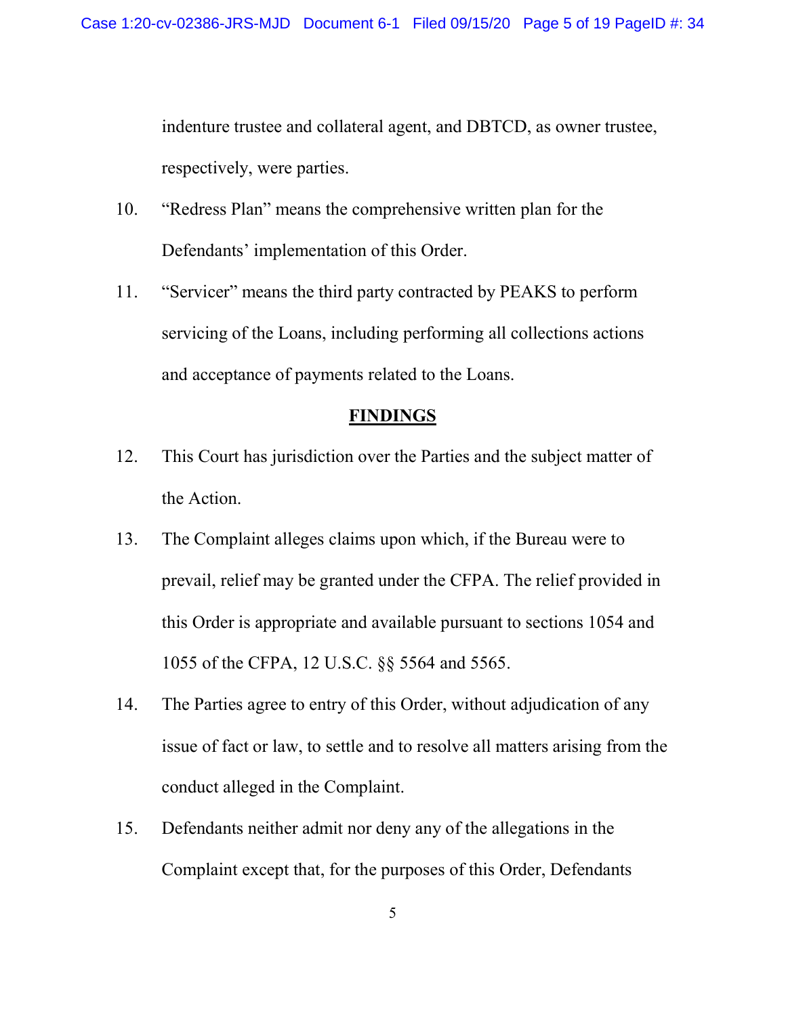indenture trustee and collateral agent, and DBTCD, as owner trustee, respectively, were parties.

- 10. "Redress Plan" means the comprehensive written plan for the Defendants' implementation of this Order.
- 11. "Servicer" means the third party contracted by PEAKS to perform servicing of the Loans, including performing all collections actions and acceptance of payments related to the Loans.

## **FINDINGS**

- 12. This Court has jurisdiction over the Parties and the subject matter of the Action.
- 13. The Complaint alleges claims upon which, if the Bureau were to prevail, relief may be granted under the CFPA. The relief provided in this Order is appropriate and available pursuant to sections 1054 and 1055 of the CFPA, 12 U.S.C. §§ 5564 and 5565.
- 14. The Parties agree to entry of this Order, without adjudication of any issue of fact or law, to settle and to resolve all matters arising from the conduct alleged in the Complaint.
- 15. Defendants neither admit nor deny any of the allegations in the Complaint except that, for the purposes of this Order, Defendants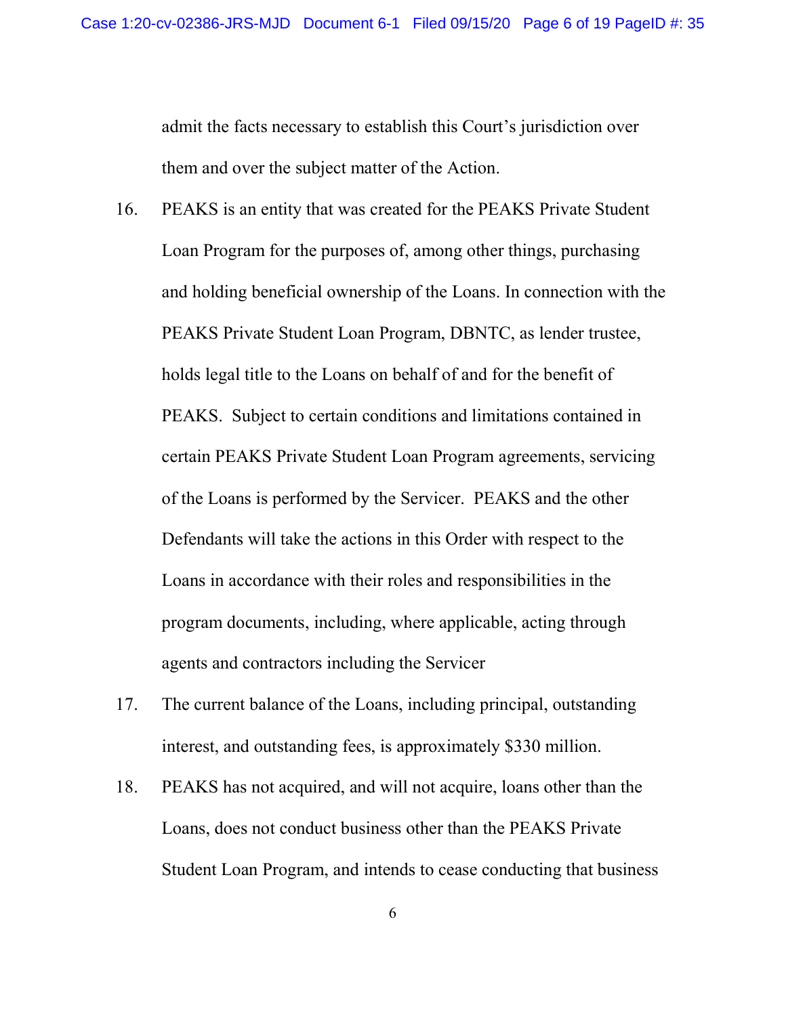admit the facts necessary to establish this Court's jurisdiction over them and over the subject matter of the Action.

- 16. PEAKS is an entity that was created for the PEAKS Private Student Loan Program for the purposes of, among other things, purchasing and holding beneficial ownership of the Loans. In connection with the PEAKS Private Student Loan Program, DBNTC, as lender trustee, holds legal title to the Loans on behalf of and for the benefit of PEAKS. Subject to certain conditions and limitations contained in certain PEAKS Private Student Loan Program agreements, servicing of the Loans is performed by the Servicer. PEAKS and the other Defendants will take the actions in this Order with respect to the Loans in accordance with their roles and responsibilities in the program documents, including, where applicable, acting through agents and contractors including the Servicer
- 17. The current balance of the Loans, including principal, outstanding interest, and outstanding fees, is approximately \$330 million.
- 18. PEAKS has not acquired, and will not acquire, loans other than the Loans, does not conduct business other than the PEAKS Private Student Loan Program, and intends to cease conducting that business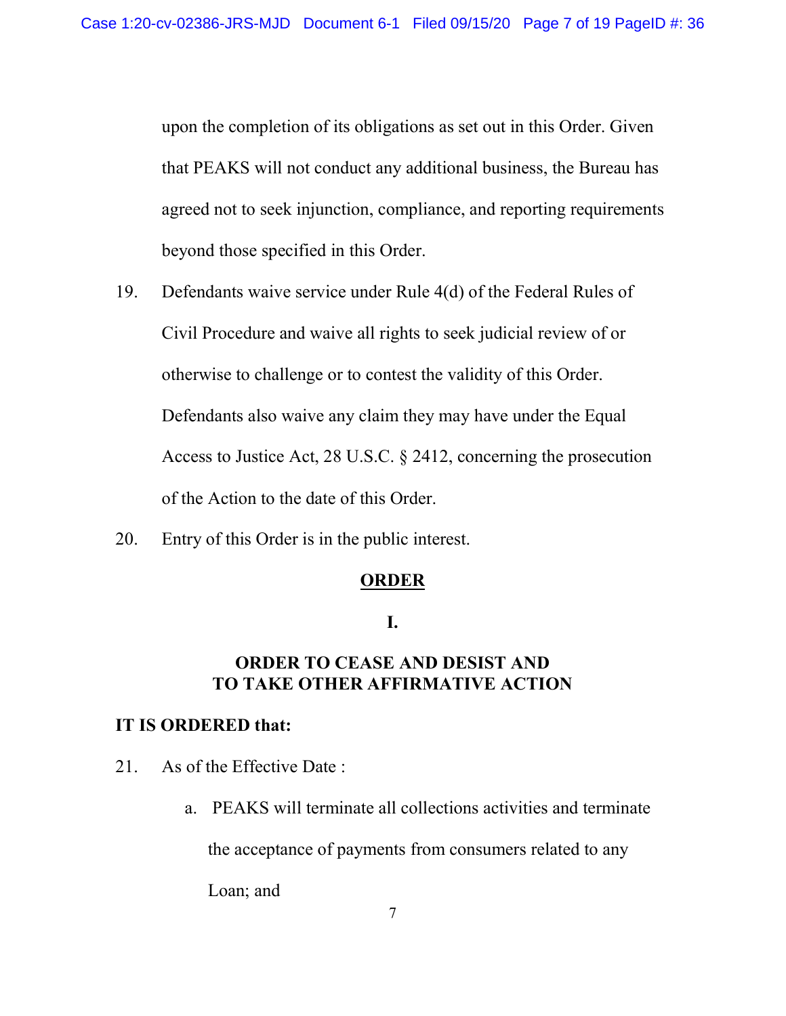upon the completion of its obligations as set out in this Order. Given that PEAKS will not conduct any additional business, the Bureau has agreed not to seek injunction, compliance, and reporting requirements beyond those specified in this Order.

- 19. Defendants waive service under Rule 4(d) of the Federal Rules of Civil Procedure and waive all rights to seek judicial review of or otherwise to challenge or to contest the validity of this Order. Defendants also waive any claim they may have under the Equal Access to Justice Act, 28 U.S.C. § 2412, concerning the prosecution of the Action to the date of this Order.
- 20. Entry of this Order is in the public interest.

## **ORDER**

## I.

# ORDER TO CEASE AND DESIST AND TO TAKE OTHER AFFIRMATIVE ACTION

## IT IS ORDERED that:

- 21. As of the Effective Date :
	- a. PEAKS will terminate all collections activities and terminate

the acceptance of payments from consumers related to any

Loan; and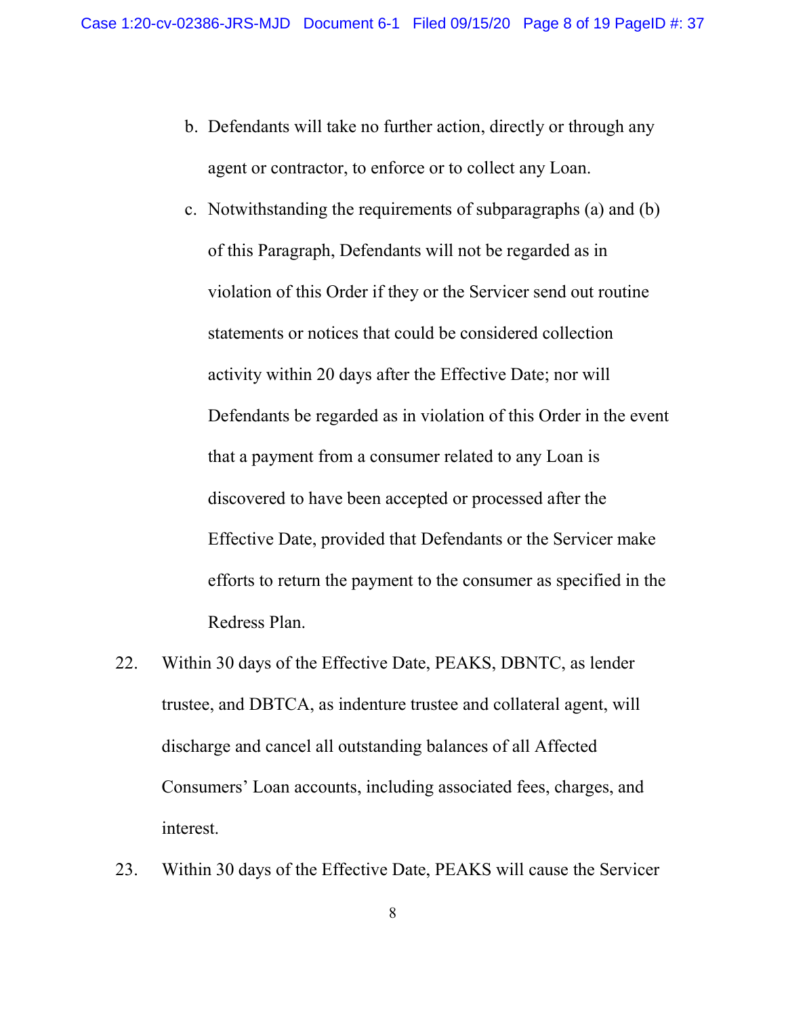- b. Defendants will take no further action, directly or through any agent or contractor, to enforce or to collect any Loan.
- c. Notwithstanding the requirements of subparagraphs (a) and (b) of this Paragraph, Defendants will not be regarded as in violation of this Order if they or the Servicer send out routine statements or notices that could be considered collection activity within 20 days after the Effective Date; nor will Defendants be regarded as in violation of this Order in the event that a payment from a consumer related to any Loan is discovered to have been accepted or processed after the Effective Date, provided that Defendants or the Servicer make efforts to return the payment to the consumer as specified in the Redress Plan.
- 22. Within 30 days of the Effective Date, PEAKS, DBNTC, as lender trustee, and DBTCA, as indenture trustee and collateral agent, will discharge and cancel all outstanding balances of all Affected Consumers' Loan accounts, including associated fees, charges, and interest.
- 23. Within 30 days of the Effective Date, PEAKS will cause the Servicer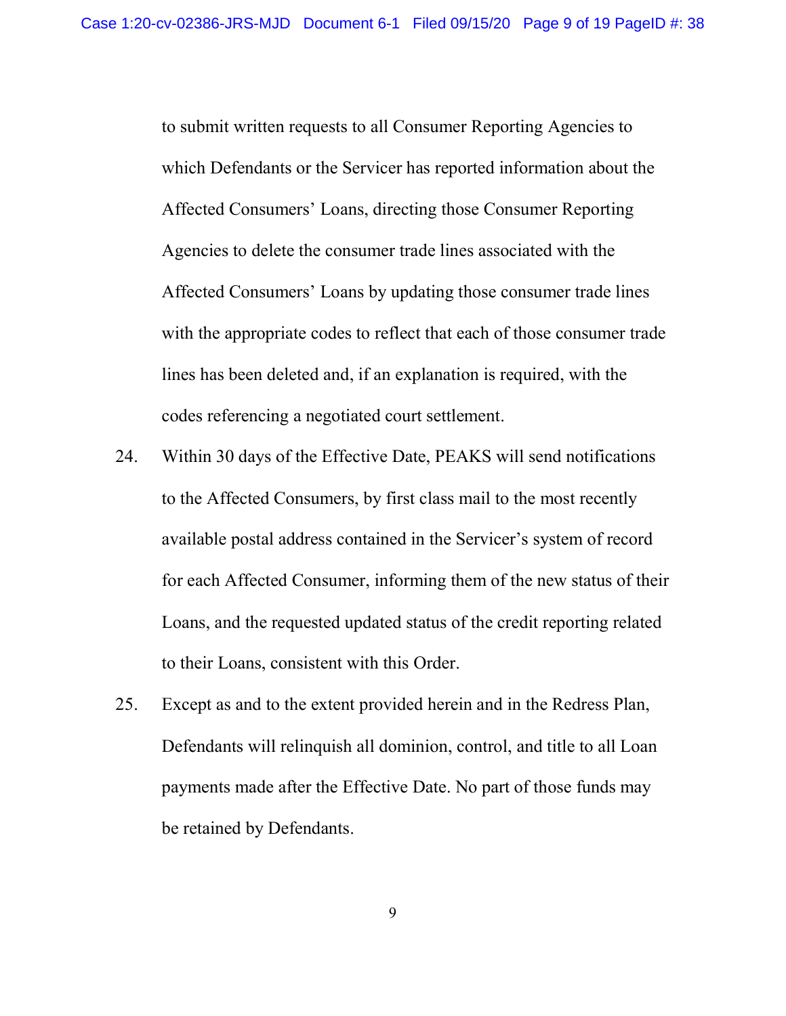to submit written requests to all Consumer Reporting Agencies to which Defendants or the Servicer has reported information about the Affected Consumers' Loans, directing those Consumer Reporting Agencies to delete the consumer trade lines associated with the Affected Consumers' Loans by updating those consumer trade lines with the appropriate codes to reflect that each of those consumer trade lines has been deleted and, if an explanation is required, with the codes referencing a negotiated court settlement.

- 24. Within 30 days of the Effective Date, PEAKS will send notifications to the Affected Consumers, by first class mail to the most recently available postal address contained in the Servicer's system of record for each Affected Consumer, informing them of the new status of their Loans, and the requested updated status of the credit reporting related to their Loans, consistent with this Order.
- 25. Except as and to the extent provided herein and in the Redress Plan, Defendants will relinquish all dominion, control, and title to all Loan payments made after the Effective Date. No part of those funds may be retained by Defendants.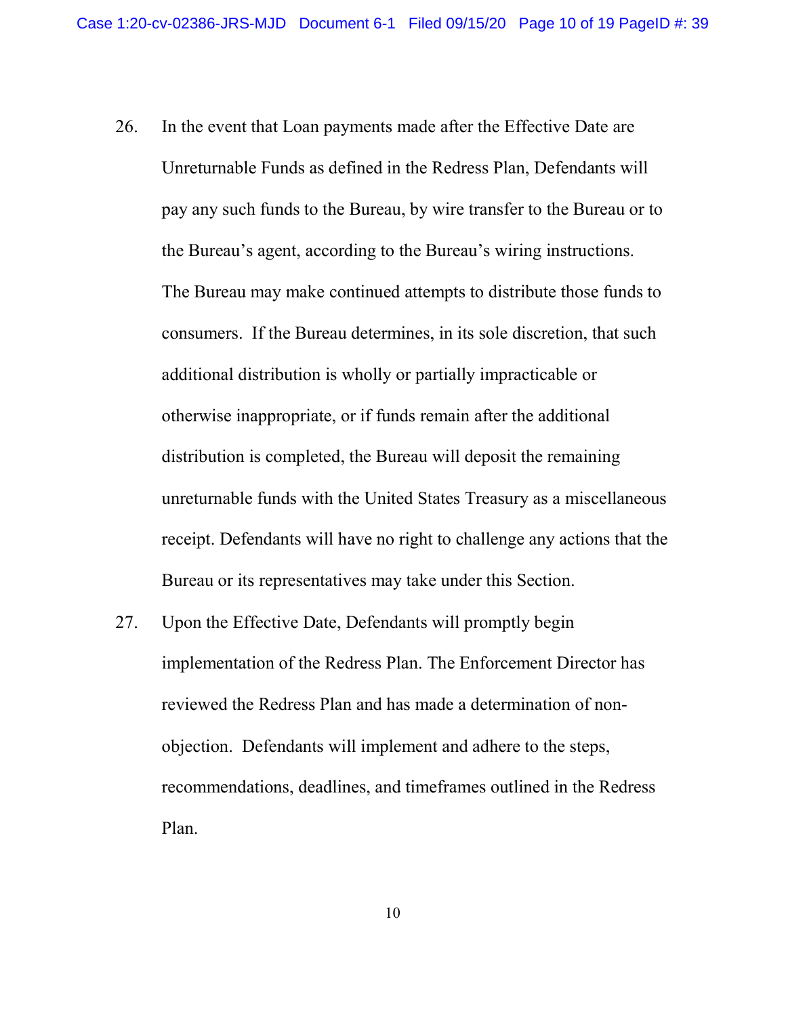- 26. In the event that Loan payments made after the Effective Date are Unreturnable Funds as defined in the Redress Plan, Defendants will pay any such funds to the Bureau, by wire transfer to the Bureau or to the Bureau's agent, according to the Bureau's wiring instructions. The Bureau may make continued attempts to distribute those funds to consumers. If the Bureau determines, in its sole discretion, that such additional distribution is wholly or partially impracticable or otherwise inappropriate, or if funds remain after the additional distribution is completed, the Bureau will deposit the remaining unreturnable funds with the United States Treasury as a miscellaneous receipt. Defendants will have no right to challenge any actions that the Bureau or its representatives may take under this Section.
- 27. Upon the Effective Date, Defendants will promptly begin implementation of the Redress Plan. The Enforcement Director has reviewed the Redress Plan and has made a determination of nonobjection. Defendants will implement and adhere to the steps, recommendations, deadlines, and timeframes outlined in the Redress Plan.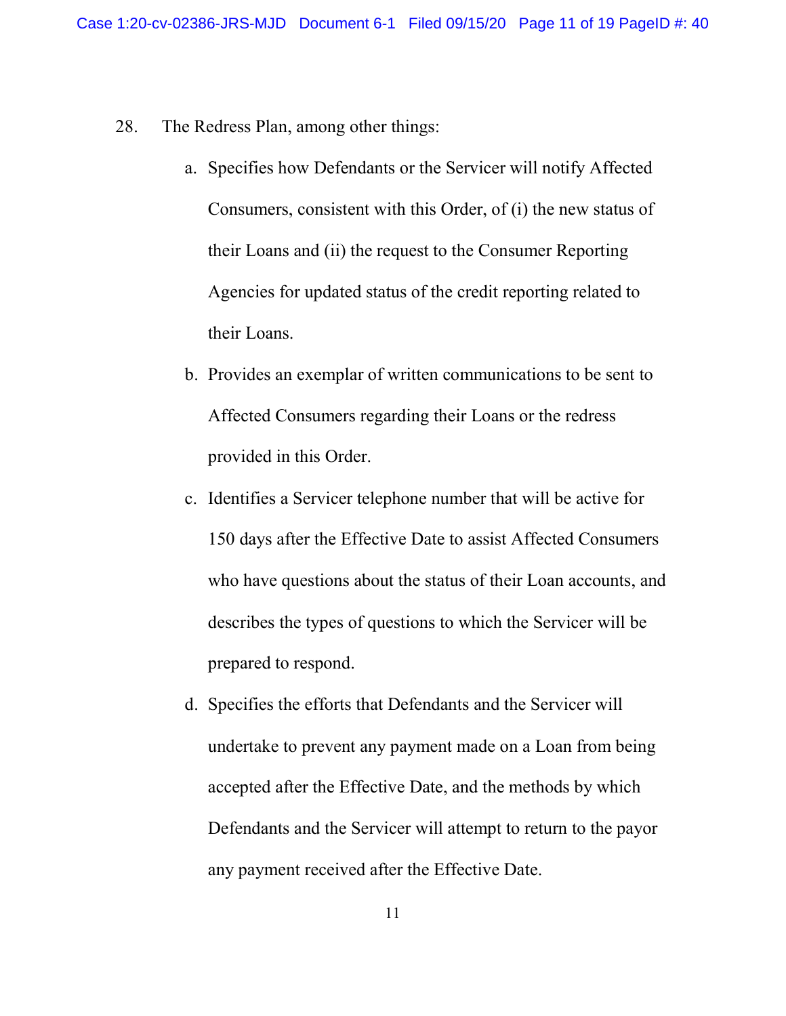- 28. The Redress Plan, among other things:
	- a. Specifies how Defendants or the Servicer will notify Affected Consumers, consistent with this Order, of (i) the new status of their Loans and (ii) the request to the Consumer Reporting Agencies for updated status of the credit reporting related to their Loans.
	- b. Provides an exemplar of written communications to be sent to Affected Consumers regarding their Loans or the redress provided in this Order.
	- c. Identifies a Servicer telephone number that will be active for 150 days after the Effective Date to assist Affected Consumers who have questions about the status of their Loan accounts, and describes the types of questions to which the Servicer will be prepared to respond.
	- d. Specifies the efforts that Defendants and the Servicer will undertake to prevent any payment made on a Loan from being accepted after the Effective Date, and the methods by which Defendants and the Servicer will attempt to return to the payor any payment received after the Effective Date.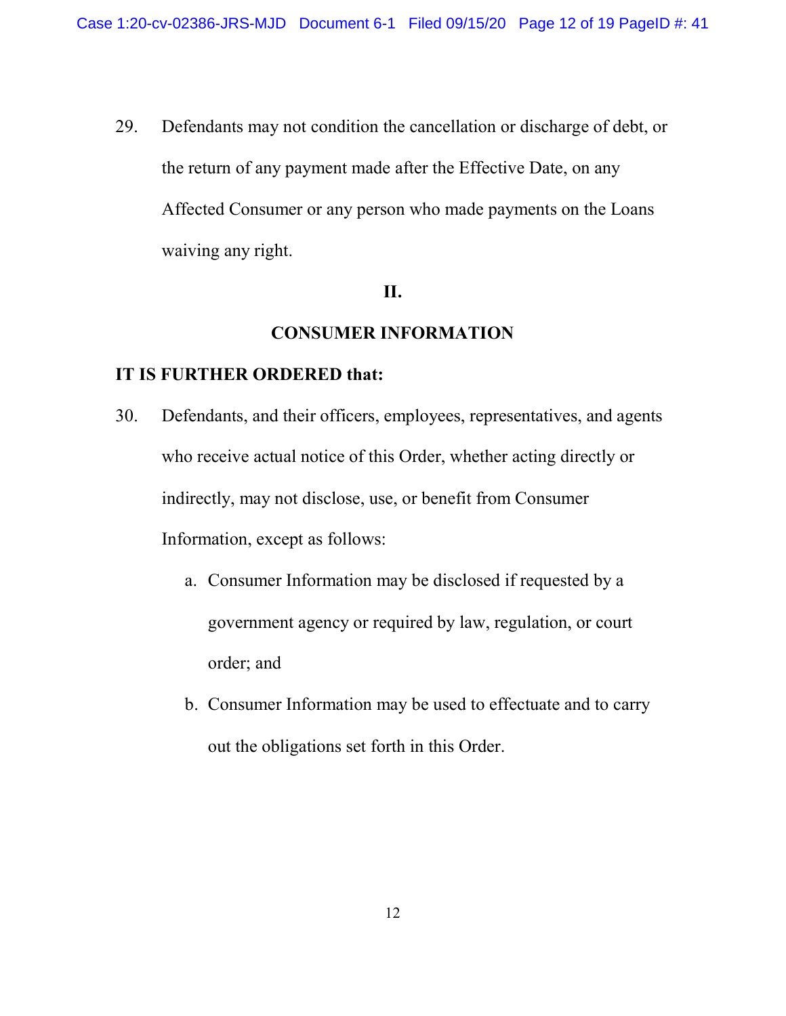29. Defendants may not condition the cancellation or discharge of debt, or the return of any payment made after the Effective Date, on any Affected Consumer or any person who made payments on the Loans waiving any right.

## II.

## CONSUMER INFORMATION

## IT IS FURTHER ORDERED that:

- 30. Defendants, and their officers, employees, representatives, and agents who receive actual notice of this Order, whether acting directly or indirectly, may not disclose, use, or benefit from Consumer Information, except as follows:
	- a. Consumer Information may be disclosed if requested by a government agency or required by law, regulation, or court order; and
	- b. Consumer Information may be used to effectuate and to carry out the obligations set forth in this Order.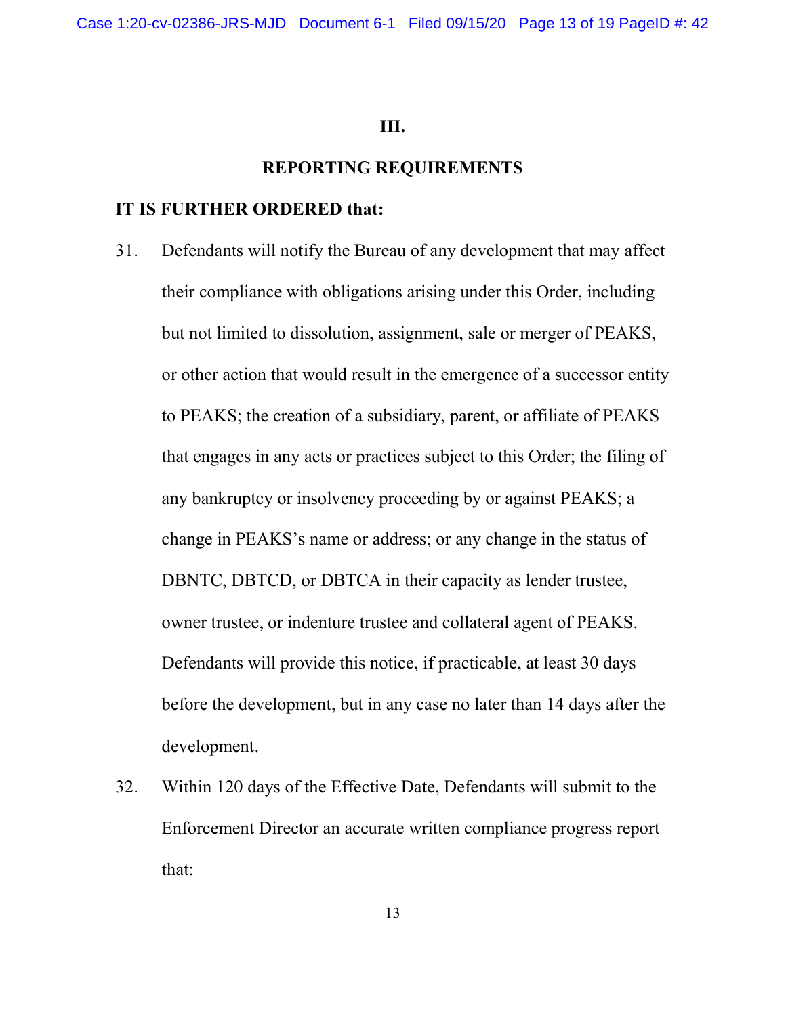#### III.

#### REPORTING REQUIREMENTS

## IT IS FURTHER ORDERED that:

- 31. Defendants will notify the Bureau of any development that may affect their compliance with obligations arising under this Order, including but not limited to dissolution, assignment, sale or merger of PEAKS, or other action that would result in the emergence of a successor entity to PEAKS; the creation of a subsidiary, parent, or affiliate of PEAKS that engages in any acts or practices subject to this Order; the filing of any bankruptcy or insolvency proceeding by or against PEAKS; a change in PEAKS's name or address; or any change in the status of DBNTC, DBTCD, or DBTCA in their capacity as lender trustee, owner trustee, or indenture trustee and collateral agent of PEAKS. Defendants will provide this notice, if practicable, at least 30 days before the development, but in any case no later than 14 days after the development.
- 32. Within 120 days of the Effective Date, Defendants will submit to the Enforcement Director an accurate written compliance progress report that: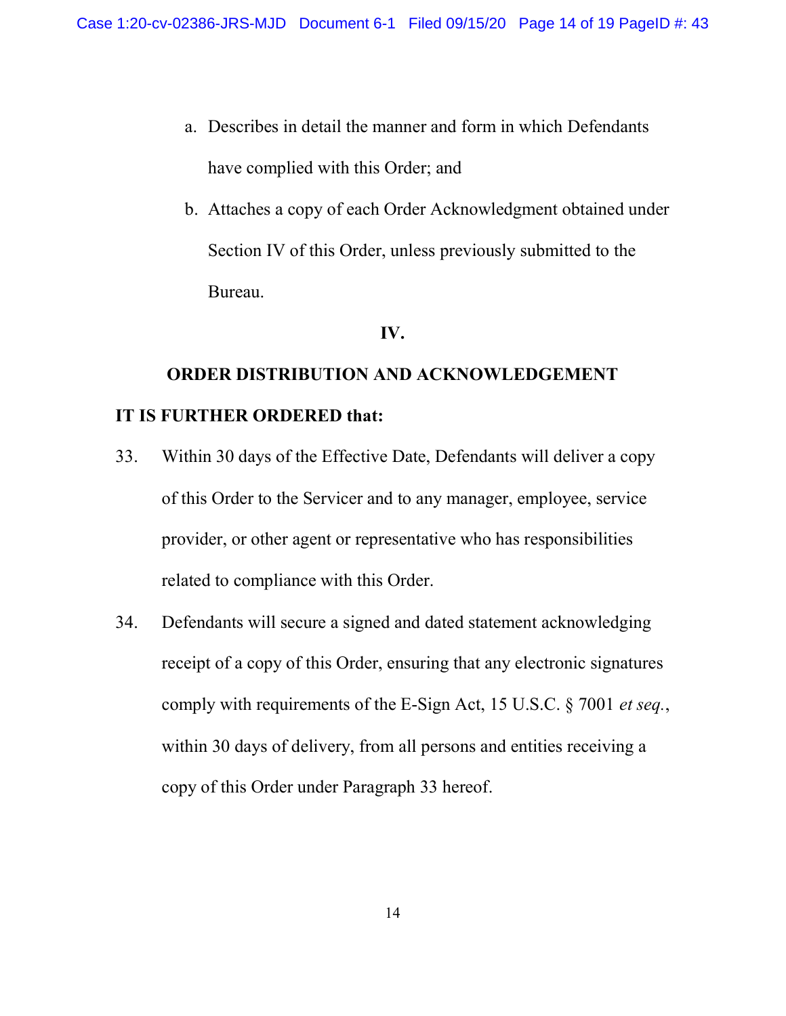- a. Describes in detail the manner and form in which Defendants have complied with this Order; and
- b. Attaches a copy of each Order Acknowledgment obtained under Section IV of this Order, unless previously submitted to the Bureau.

## IV.

# ORDER DISTRIBUTION AND ACKNOWLEDGEMENT IT IS FURTHER ORDERED that:

- 33. Within 30 days of the Effective Date, Defendants will deliver a copy of this Order to the Servicer and to any manager, employee, service provider, or other agent or representative who has responsibilities related to compliance with this Order.
- 34. Defendants will secure a signed and dated statement acknowledging receipt of a copy of this Order, ensuring that any electronic signatures comply with requirements of the E-Sign Act, 15 U.S.C. § 7001 et seq., within 30 days of delivery, from all persons and entities receiving a copy of this Order under Paragraph 33 hereof.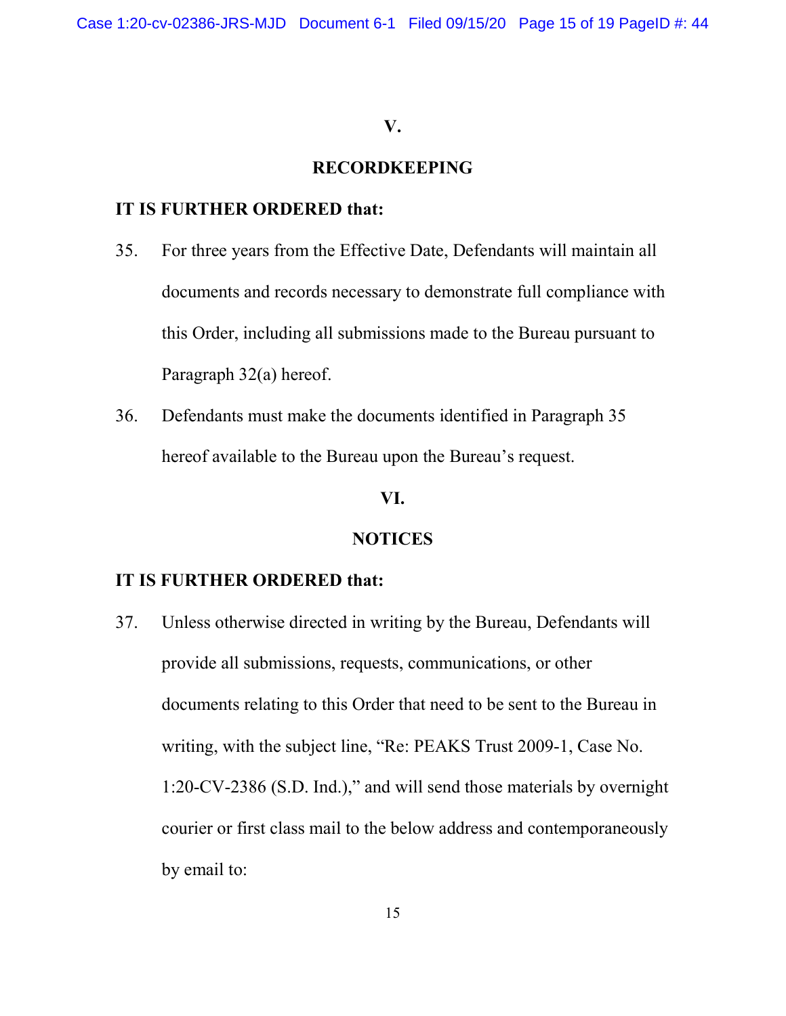#### V.

## RECORDKEEPING

## IT IS FURTHER ORDERED that:

- 35. For three years from the Effective Date, Defendants will maintain all documents and records necessary to demonstrate full compliance with this Order, including all submissions made to the Bureau pursuant to Paragraph 32(a) hereof.
- 36. Defendants must make the documents identified in Paragraph 35 hereof available to the Bureau upon the Bureau's request.

## VI.

#### NOTICES

## IT IS FURTHER ORDERED that:

37. Unless otherwise directed in writing by the Bureau, Defendants will provide all submissions, requests, communications, or other documents relating to this Order that need to be sent to the Bureau in writing, with the subject line, "Re: PEAKS Trust 2009-1, Case No. 1:20-CV-2386 (S.D. Ind.)," and will send those materials by overnight courier or first class mail to the below address and contemporaneously by email to: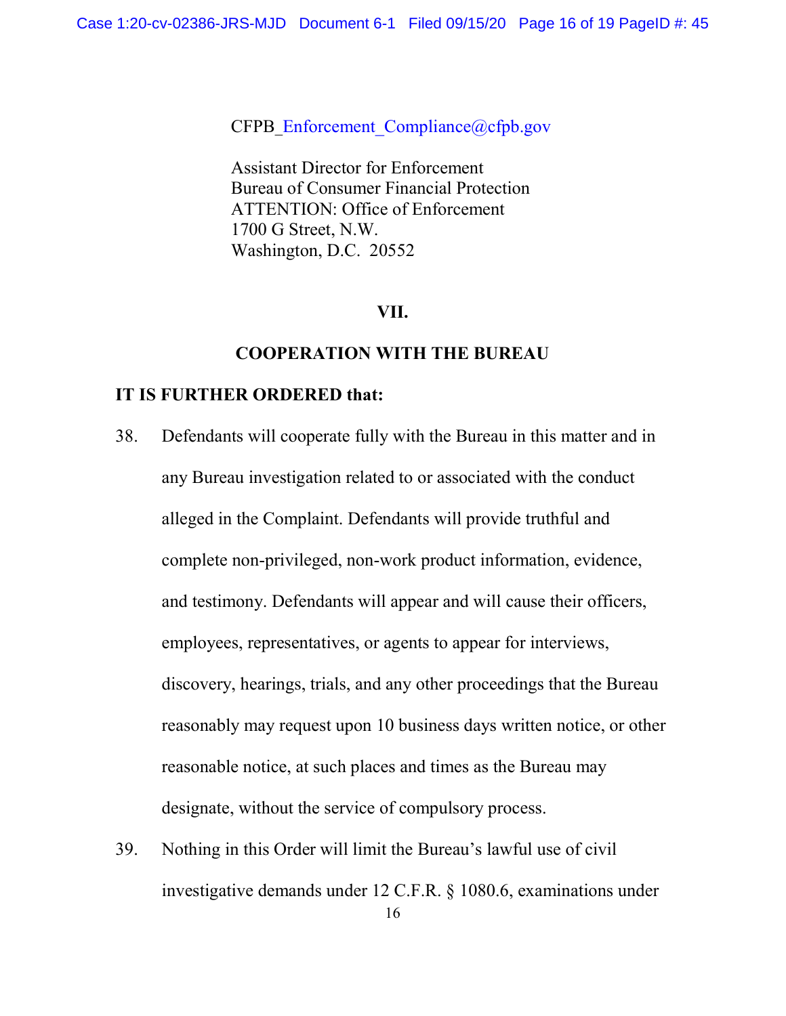CFPB\_Enforcement\_Compliance@cfpb.gov

Assistant Director for Enforcement Bureau of Consumer Financial Protection ATTENTION: Office of Enforcement 1700 G Street, N.W. Washington, D.C. 20552

## VII.

#### COOPERATION WITH THE BUREAU

## IT IS FURTHER ORDERED that:

- 38. Defendants will cooperate fully with the Bureau in this matter and in any Bureau investigation related to or associated with the conduct alleged in the Complaint. Defendants will provide truthful and complete non-privileged, non-work product information, evidence, and testimony. Defendants will appear and will cause their officers, employees, representatives, or agents to appear for interviews, discovery, hearings, trials, and any other proceedings that the Bureau reasonably may request upon 10 business days written notice, or other reasonable notice, at such places and times as the Bureau may designate, without the service of compulsory process.
- 39. Nothing in this Order will limit the Bureau's lawful use of civil investigative demands under 12 C.F.R. § 1080.6, examinations under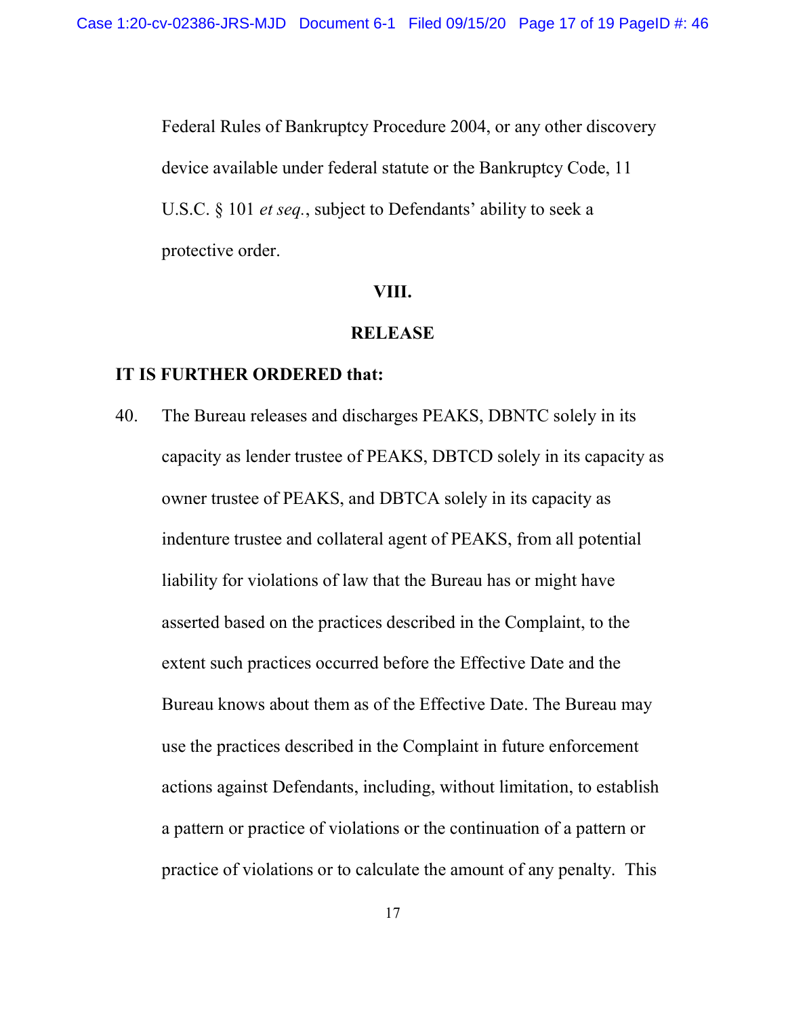Federal Rules of Bankruptcy Procedure 2004, or any other discovery device available under federal statute or the Bankruptcy Code, 11 U.S.C. § 101 *et seq.*, subject to Defendants' ability to seek a protective order.

#### VIII.

#### **RELEASE**

## IT IS FURTHER ORDERED that:

40. The Bureau releases and discharges PEAKS, DBNTC solely in its capacity as lender trustee of PEAKS, DBTCD solely in its capacity as owner trustee of PEAKS, and DBTCA solely in its capacity as indenture trustee and collateral agent of PEAKS, from all potential liability for violations of law that the Bureau has or might have asserted based on the practices described in the Complaint, to the extent such practices occurred before the Effective Date and the Bureau knows about them as of the Effective Date. The Bureau may use the practices described in the Complaint in future enforcement actions against Defendants, including, without limitation, to establish a pattern or practice of violations or the continuation of a pattern or practice of violations or to calculate the amount of any penalty. This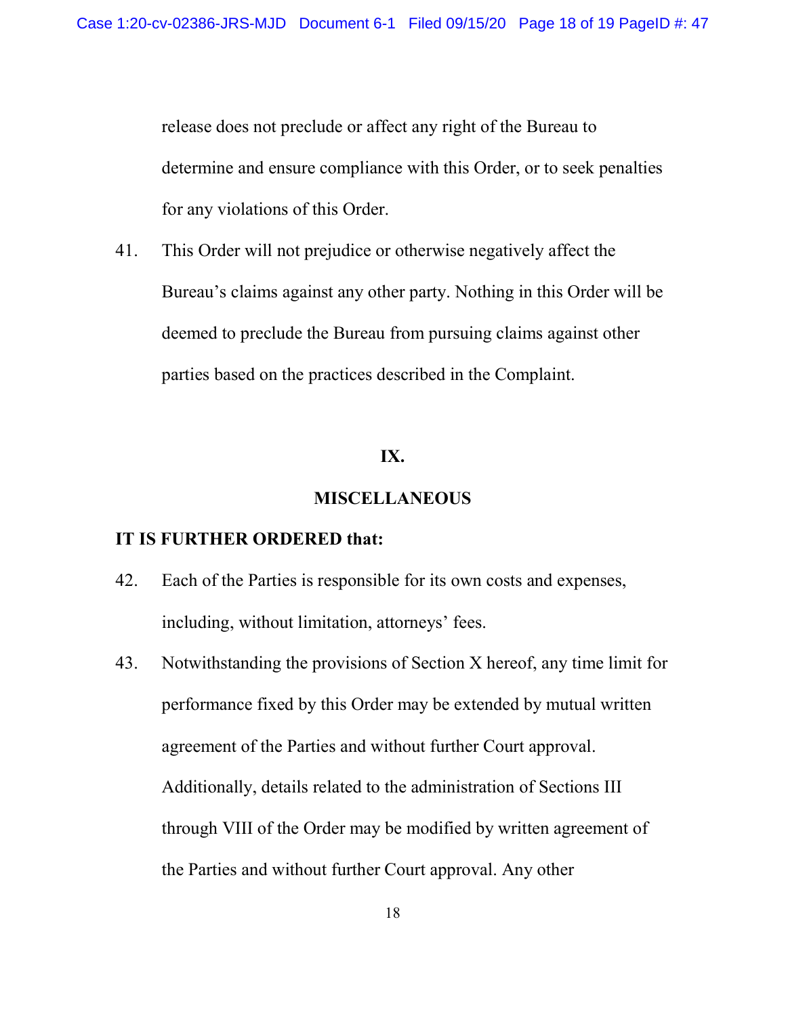release does not preclude or affect any right of the Bureau to determine and ensure compliance with this Order, or to seek penalties for any violations of this Order.

41. This Order will not prejudice or otherwise negatively affect the Bureau's claims against any other party. Nothing in this Order will be deemed to preclude the Bureau from pursuing claims against other parties based on the practices described in the Complaint.

#### IX.

#### MISCELLANEOUS

#### IT IS FURTHER ORDERED that:

- 42. Each of the Parties is responsible for its own costs and expenses, including, without limitation, attorneys' fees.
- 43. Notwithstanding the provisions of Section X hereof, any time limit for performance fixed by this Order may be extended by mutual written agreement of the Parties and without further Court approval. Additionally, details related to the administration of Sections III through VIII of the Order may be modified by written agreement of the Parties and without further Court approval. Any other